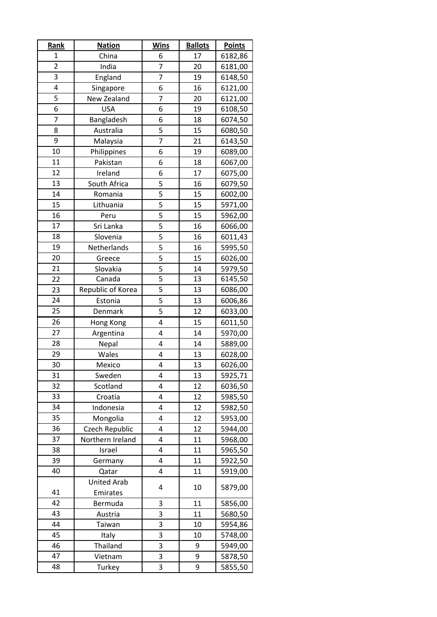| <b>Rank</b>    | <b>Nation</b>      | <b>Wins</b>             | <b>Ballots</b> | <b>Points</b> |
|----------------|--------------------|-------------------------|----------------|---------------|
| 1              | China              | 6                       | 17             | 6182,86       |
| $\overline{2}$ | India              | $\overline{7}$          | 20             | 6181,00       |
| 3              | England            | 7                       | 19             | 6148,50       |
| 4              | Singapore          | 6                       | 16             | 6121,00       |
| 5              | New Zealand        | $\overline{7}$          | 20             | 6121,00       |
| 6              | <b>USA</b>         | 6                       | 19             | 6108,50       |
| 7              | Bangladesh         | 6                       | 18             | 6074,50       |
| 8              | Australia          | 5                       | 15             | 6080,50       |
| 9              | Malaysia           | 7                       | 21             | 6143,50       |
| 10             | Philippines        | 6                       | 19             | 6089,00       |
| 11             | Pakistan           | 6                       | 18             | 6067,00       |
| 12             | Ireland            | 6                       | 17             | 6075,00       |
| 13             | South Africa       | 5                       | 16             | 6079,50       |
| 14             | Romania            | 5                       | 15             | 6002,00       |
| 15             | Lithuania          | 5                       | 15             | 5971,00       |
| 16             | Peru               | 5                       | 15             | 5962,00       |
| 17             | Sri Lanka          | 5                       | 16             | 6066,00       |
| 18             | Slovenia           | 5                       | 16             | 6011,43       |
| 19             | Netherlands        | 5                       | 16             | 5995,50       |
| 20             | Greece             | 5                       | 15             | 6026,00       |
| 21             | Slovakia           | 5                       | 14             | 5979,50       |
| 22             | Canada             | 5                       | 13             | 6145,50       |
| 23             | Republic of Korea  | 5                       | 13             | 6086,00       |
| 24             | Estonia            | $\overline{\mathbf{5}}$ | 13             | 6006,86       |
| 25             | Denmark            | 5                       | 12             | 6033,00       |
| 26             | Hong Kong          | 4                       | 15             | 6011,50       |
| 27             | Argentina          | 4                       | 14             | 5970,00       |
| 28             | Nepal              | 4                       | 14             | 5889,00       |
| 29             | Wales              | 4                       | 13             | 6028,00       |
| 30             | Mexico             | 4                       | 13             | 6026,00       |
| 31             | Sweden             | 4                       | 13             | 5925,71       |
| 32             | Scotland           | 4                       | 12             | 6036,50       |
| 33             | Croatia            | 4                       | 12             | 5985,50       |
| 34             | Indonesia          | 4                       | 12             | 5982,50       |
| 35             | Mongolia           | 4                       | 12             | 5953,00       |
| 36             | Czech Republic     | 4                       | 12             | 5944,00       |
| 37             | Northern Ireland   | 4                       | 11             | 5968,00       |
| 38             | Israel             | 4                       | 11             | 5965,50       |
| 39             | Germany            | 4                       | 11             | 5922,50       |
| 40             | Qatar              | 4                       | 11             | 5919,00       |
|                | <b>United Arab</b> | 4                       | 10             | 5879,00       |
| 41             | Emirates           |                         |                |               |
| 42             | Bermuda            | 3                       | 11             | 5856,00       |
| 43             | Austria            | 3                       | 11             | 5680,50       |
| 44             | Taiwan             | 3                       | 10             | 5954,86       |
| 45             | Italy              | 3                       | 10             | 5748,00       |
| 46             | Thailand           | 3                       | 9              | 5949,00       |
| 47             | Vietnam            | 3                       | 9              | 5878,50       |
| 48             | Turkey             | 3                       | 9              | 5855,50       |